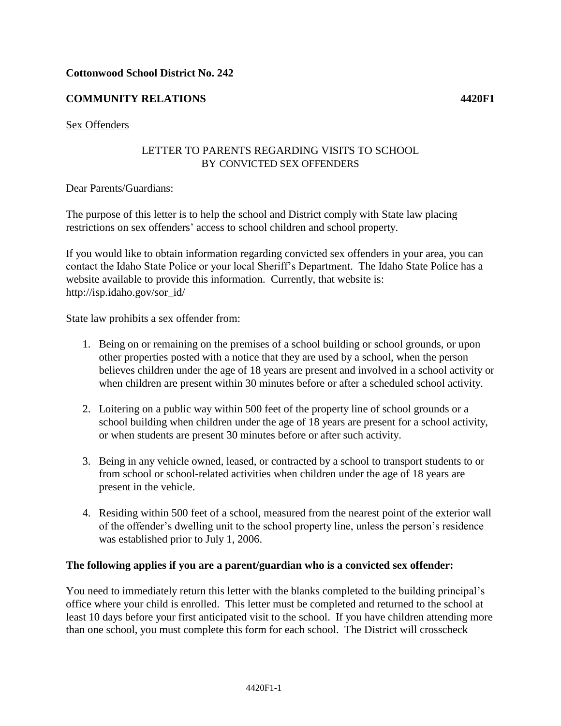# **Cottonwood School District No. 242**

# **COMMUNITY RELATIONS 4420F1**

#### Sex Offenders

### LETTER TO PARENTS REGARDING VISITS TO SCHOOL BY CONVICTED SEX OFFENDERS

#### Dear Parents/Guardians:

The purpose of this letter is to help the school and District comply with State law placing restrictions on sex offenders' access to school children and school property.

If you would like to obtain information regarding convicted sex offenders in your area, you can contact the Idaho State Police or your local Sheriff's Department. The Idaho State Police has a website available to provide this information. Currently, that website is: http://isp.idaho.gov/sor\_id/

State law prohibits a sex offender from:

- 1. Being on or remaining on the premises of a school building or school grounds, or upon other properties posted with a notice that they are used by a school, when the person believes children under the age of 18 years are present and involved in a school activity or when children are present within 30 minutes before or after a scheduled school activity.
- 2. Loitering on a public way within 500 feet of the property line of school grounds or a school building when children under the age of 18 years are present for a school activity, or when students are present 30 minutes before or after such activity.
- 3. Being in any vehicle owned, leased, or contracted by a school to transport students to or from school or school-related activities when children under the age of 18 years are present in the vehicle.
- 4. Residing within 500 feet of a school, measured from the nearest point of the exterior wall of the offender's dwelling unit to the school property line, unless the person's residence was established prior to July 1, 2006.

### **The following applies if you are a parent/guardian who is a convicted sex offender:**

You need to immediately return this letter with the blanks completed to the building principal's office where your child is enrolled. This letter must be completed and returned to the school at least 10 days before your first anticipated visit to the school. If you have children attending more than one school, you must complete this form for each school. The District will crosscheck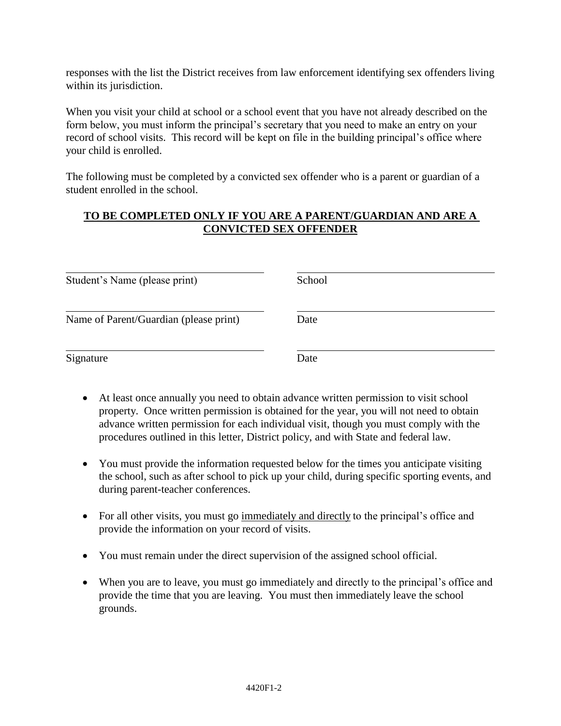responses with the list the District receives from law enforcement identifying sex offenders living within its jurisdiction.

When you visit your child at school or a school event that you have not already described on the form below, you must inform the principal's secretary that you need to make an entry on your record of school visits. This record will be kept on file in the building principal's office where your child is enrolled.

The following must be completed by a convicted sex offender who is a parent or guardian of a student enrolled in the school.

# **TO BE COMPLETED ONLY IF YOU ARE A PARENT/GUARDIAN AND ARE A CONVICTED SEX OFFENDER**

| Student's Name (please print)          | School |
|----------------------------------------|--------|
| Name of Parent/Guardian (please print) | Date   |
| Signature                              | Date   |

- At least once annually you need to obtain advance written permission to visit school property. Once written permission is obtained for the year, you will not need to obtain advance written permission for each individual visit, though you must comply with the procedures outlined in this letter, District policy, and with State and federal law.
- You must provide the information requested below for the times you anticipate visiting the school, such as after school to pick up your child, during specific sporting events, and during parent-teacher conferences.
- For all other visits, you must go immediately and directly to the principal's office and provide the information on your record of visits.
- You must remain under the direct supervision of the assigned school official.
- When you are to leave, you must go immediately and directly to the principal's office and provide the time that you are leaving. You must then immediately leave the school grounds.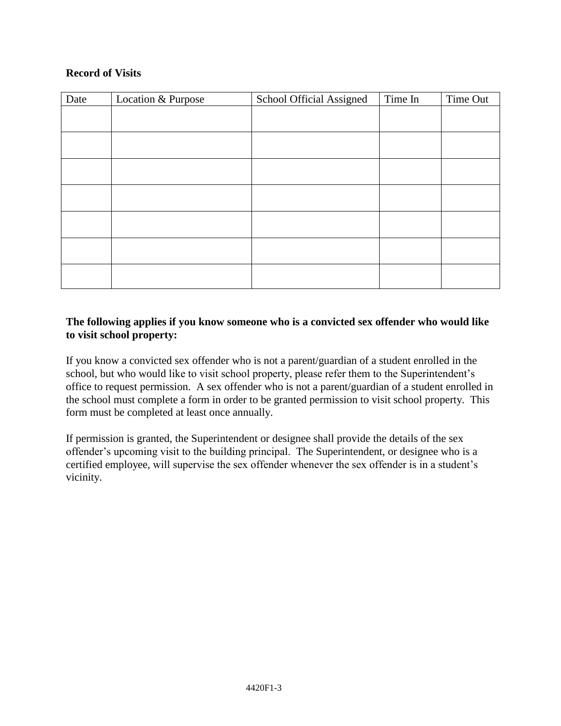# **Record of Visits**

| Date | Location & Purpose | School Official Assigned | Time In | Time Out |
|------|--------------------|--------------------------|---------|----------|
|      |                    |                          |         |          |
|      |                    |                          |         |          |
|      |                    |                          |         |          |
|      |                    |                          |         |          |
|      |                    |                          |         |          |
|      |                    |                          |         |          |
|      |                    |                          |         |          |

# **The following applies if you know someone who is a convicted sex offender who would like to visit school property:**

If you know a convicted sex offender who is not a parent/guardian of a student enrolled in the school, but who would like to visit school property, please refer them to the Superintendent's office to request permission. A sex offender who is not a parent/guardian of a student enrolled in the school must complete a form in order to be granted permission to visit school property. This form must be completed at least once annually.

If permission is granted, the Superintendent or designee shall provide the details of the sex offender's upcoming visit to the building principal. The Superintendent, or designee who is a certified employee, will supervise the sex offender whenever the sex offender is in a student's vicinity.